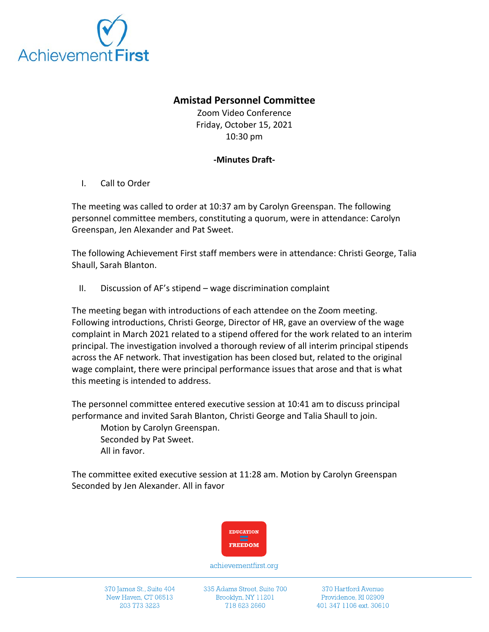

## **Amistad Personnel Committee**

Zoom Video Conference Friday, October 15, 2021 10:30 pm

## **-Minutes Draft-**

I. Call to Order

The meeting was called to order at 10:37 am by Carolyn Greenspan. The following personnel committee members, constituting a quorum, were in attendance: Carolyn Greenspan, Jen Alexander and Pat Sweet.

The following Achievement First staff members were in attendance: Christi George, Talia Shaull, Sarah Blanton.

II. Discussion of AF's stipend – wage discrimination complaint

The meeting began with introductions of each attendee on the Zoom meeting. Following introductions, Christi George, Director of HR, gave an overview of the wage complaint in March 2021 related to a stipend offered for the work related to an interim principal. The investigation involved a thorough review of all interim principal stipends across the AF network. That investigation has been closed but, related to the original wage complaint, there were principal performance issues that arose and that is what this meeting is intended to address.

The personnel committee entered executive session at 10:41 am to discuss principal performance and invited Sarah Blanton, Christi George and Talia Shaull to join.

Motion by Carolyn Greenspan. Seconded by Pat Sweet. All in favor.

The committee exited executive session at 11:28 am. Motion by Carolyn Greenspan Seconded by Jen Alexander. All in favor



achievementfirst.org

370 James St., Suite 404 New Haven, CT 06513 203 773 3223

335 Adams Street, Suite 700 Brooklyn, NY 11201 718 623 2660

370 Hartford Avenue Providence, RI 02909 401 347 1106 ext. 30610